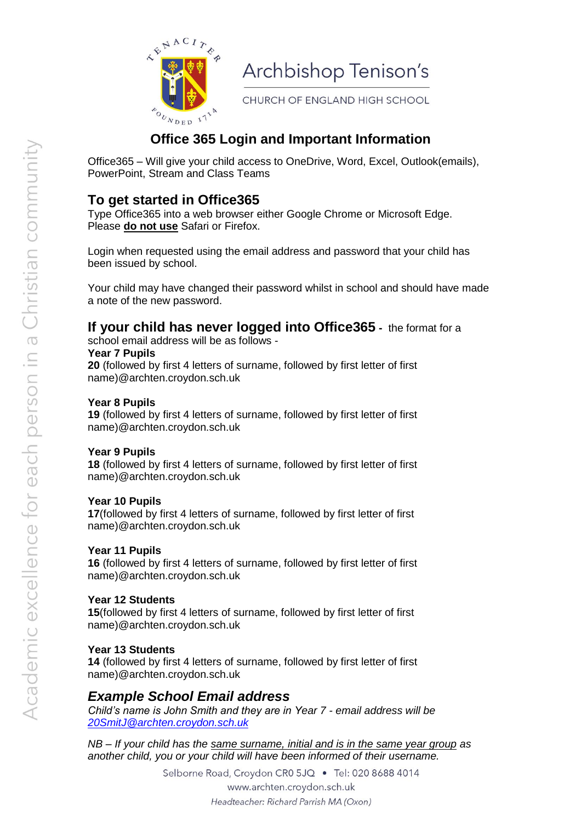

Archbishop Tenison's

CHURCH OF ENGLAND HIGH SCHOOL

# **Office 365 Login and Important Information**

Office365 – Will give your child access to OneDrive, Word, Excel, Outlook(emails), PowerPoint, Stream and Class Teams

## **To get started in Office365**

Type Office365 into a web browser either Google Chrome or Microsoft Edge. Please **do not use** Safari or Firefox.

Login when requested using the email address and password that your child has been issued by school.

Your child may have changed their password whilst in school and should have made a note of the new password.

### **If your child has never logged into Office365 -** the format for a

school email address will be as follows - **Year 7 Pupils** 

**20** (followed by first 4 letters of surname, followed by first letter of first name)@archten.croydon.sch.uk

#### **Year 8 Pupils**

**19** (followed by first 4 letters of surname, followed by first letter of first name)@archten.croydon.sch.uk

#### **Year 9 Pupils**

**18** (followed by first 4 letters of surname, followed by first letter of first name)@archten.croydon.sch.uk

#### **Year 10 Pupils**

**17**(followed by first 4 letters of surname, followed by first letter of first name)@archten.croydon.sch.uk

#### **Year 11 Pupils**

**16** (followed by first 4 letters of surname, followed by first letter of first name)@archten.croydon.sch.uk

#### **Year 12 Students**

**15**(followed by first 4 letters of surname, followed by first letter of first name)@archten.croydon.sch.uk

#### **Year 13 Students**

**14** (followed by first 4 letters of surname, followed by first letter of first name)@archten.croydon.sch.uk

### *Example School Email address*

*Child's name is John Smith and they are in Year 7 - email address will be [20SmitJ@archten.croydon.sch.uk](mailto:20SmitJ@archten.croydon.sch.uk)*

*NB – If your child has the same surname, initial and is in the same year group as another child, you or your child will have been informed of their username.* 

> Selborne Road, Croydon CR0 5JQ · Tel: 020 8688 4014 www.archten.croydon.sch.uk Headteacher: Richard Parrish MA (Oxon)